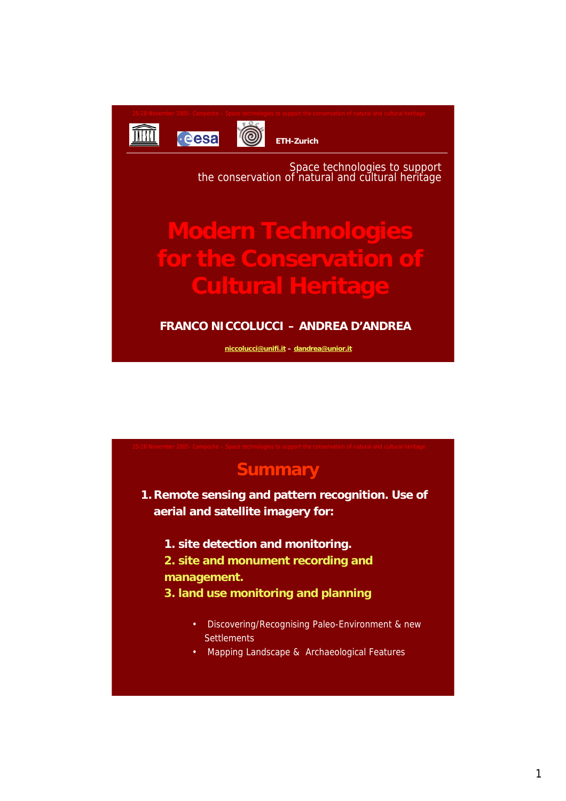

**ETH-Zurich**

6

Space technologies to support the conservation of natural and cultural heritage

# **Modern Technologies for the Conservation of Cultural Heritage**

### **FRANCO NICCOLUCCI – ANDREA D'ANDREA**

**niccolucci@unifi.it – dandrea@unior.it**

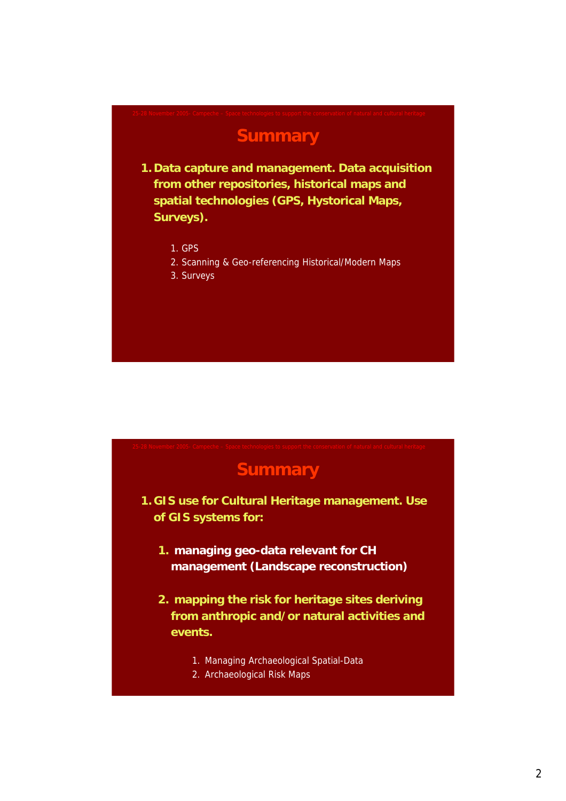## **Summary**

- **1. Data capture and management. Data acquisition from other repositories, historical maps and spatial technologies (GPS, Hystorical Maps, Surveys).**
	- 1. GPS
	- 2. Scanning & Geo-referencing Historical/Modern Maps
	- 3. Surveys

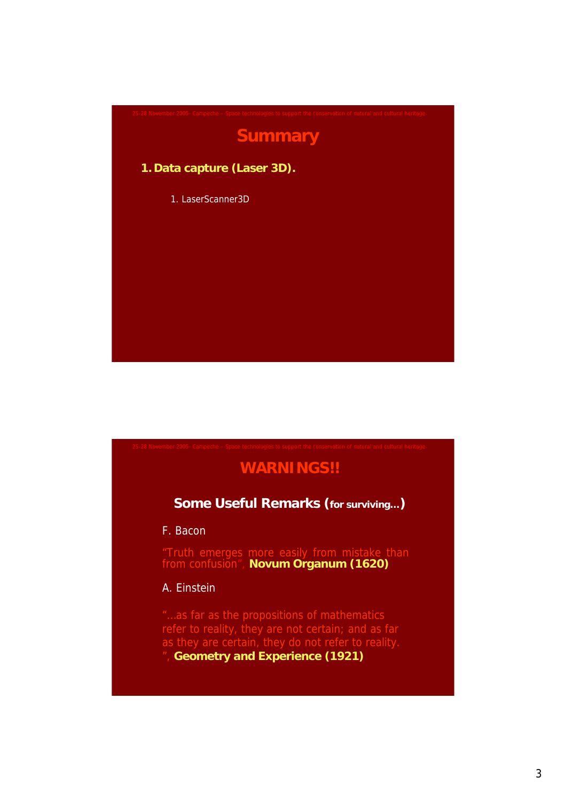

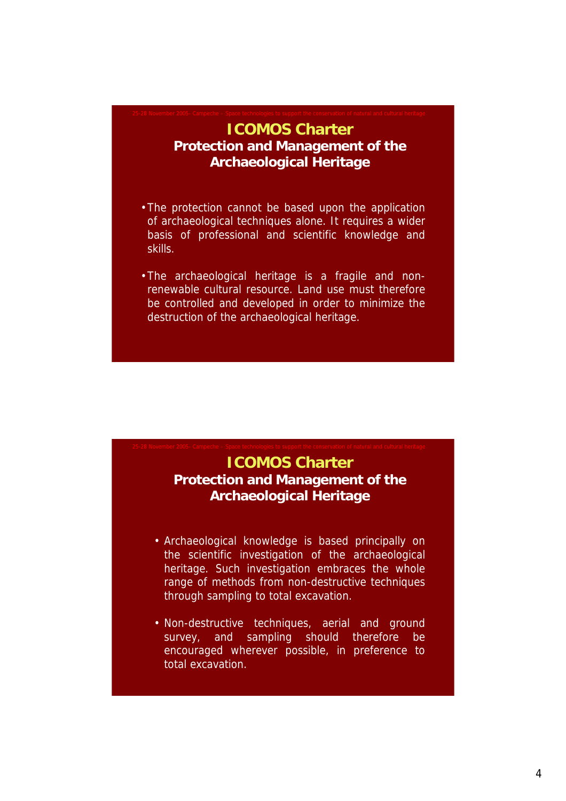### **ICOMOS Charter Protection and Management of the Archaeological Heritage**

- •The protection cannot be based upon the application of archaeological techniques alone. It requires a wider basis of professional and scientific knowledge and skills.
- •The archaeological heritage is a fragile and nonrenewable cultural resource. Land use must therefore be controlled and developed in order to minimize the destruction of the archaeological heritage.

### **ICOMOS Charter Protection and Management of the Archaeological Heritage**

- Archaeological knowledge is based principally on the scientific investigation of the archaeological heritage. Such investigation embraces the whole range of methods from non-destructive techniques through sampling to total excavation.
- Non-destructive techniques, aerial and ground survey, and sampling should therefore be encouraged wherever possible, in preference to total excavation.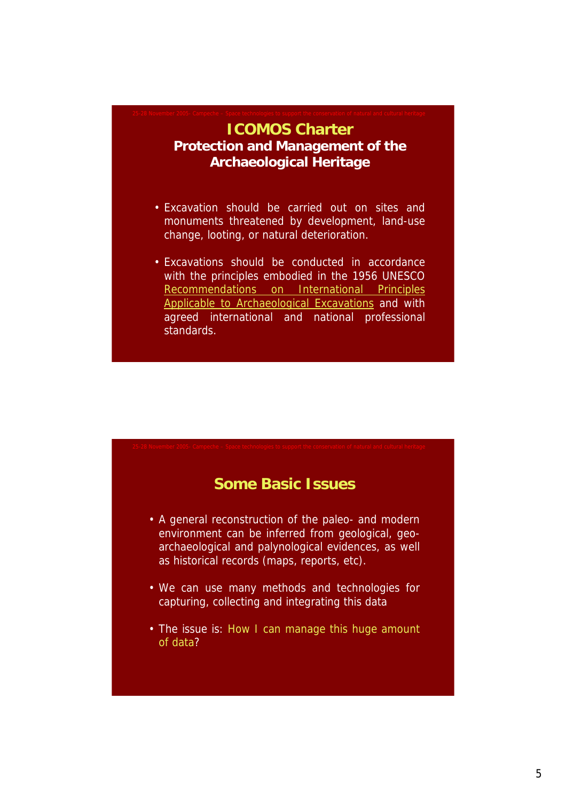### **ICOMOS Charter Protection and Management of the Archaeological Heritage**

- Excavation should be carried out on sites and monuments threatened by development, land-use change, looting, or natural deterioration.
- Excavations should be conducted in accordance with the principles embodied in the 1956 UNESCO Recommendations on International Principles Applicable to Archaeological Excavations and with agreed international and national professional standards.

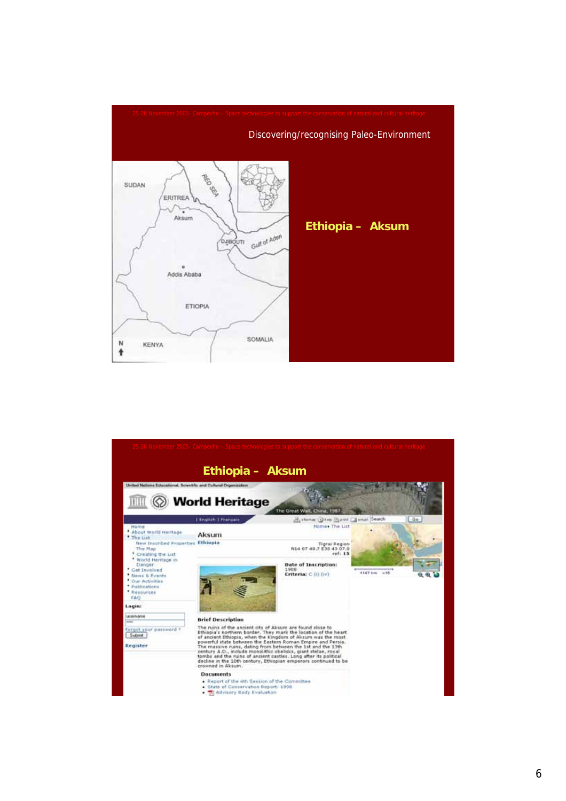

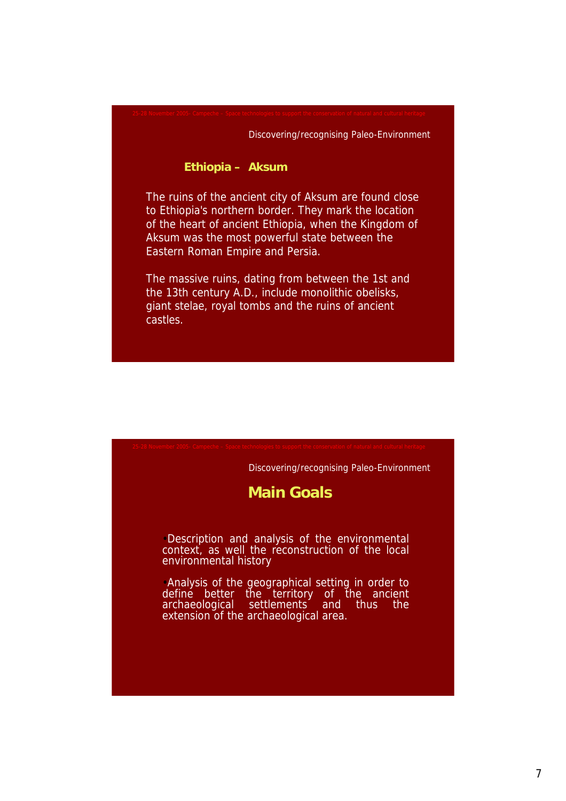#### Discovering/recognising Paleo-Environment

#### **Ethiopia – Aksum**

The ruins of the ancient city of Aksum are found close to Ethiopia's northern border. They mark the location of the heart of ancient Ethiopia, when the Kingdom of Aksum was the most powerful state between the Eastern Roman Empire and Persia.

The massive ruins, dating from between the 1st and the 13th century A.D., include monolithic obelisks, giant stelae, royal tombs and the ruins of ancient castles.

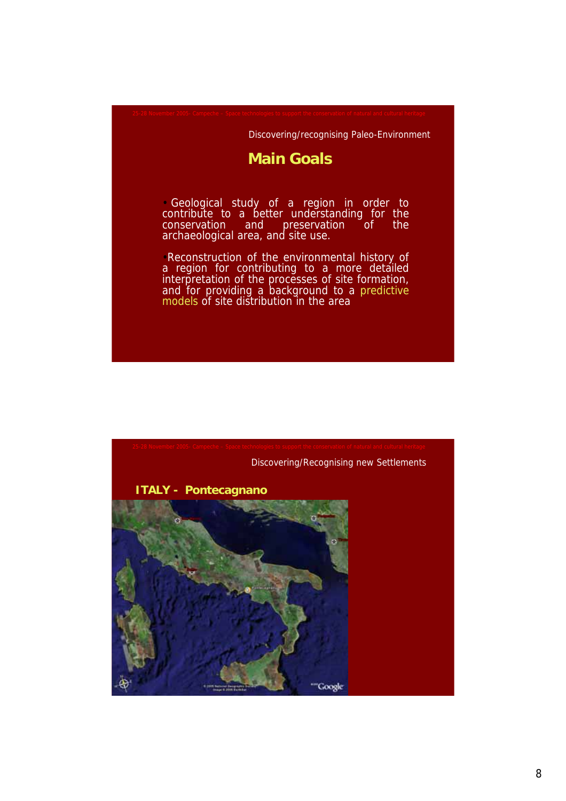### Discovering/recognising Paleo-Environment

### **Main Goals**

• Geological study of a region in order to contribute to a better understanding for the conservation and preservation of the archaeological area, and site use.

•Reconstruction of the environmental history of a region for contributing to a more detailed interpretation of the processes of site formation, and for providing a background to a predictive models of site distribution in the area

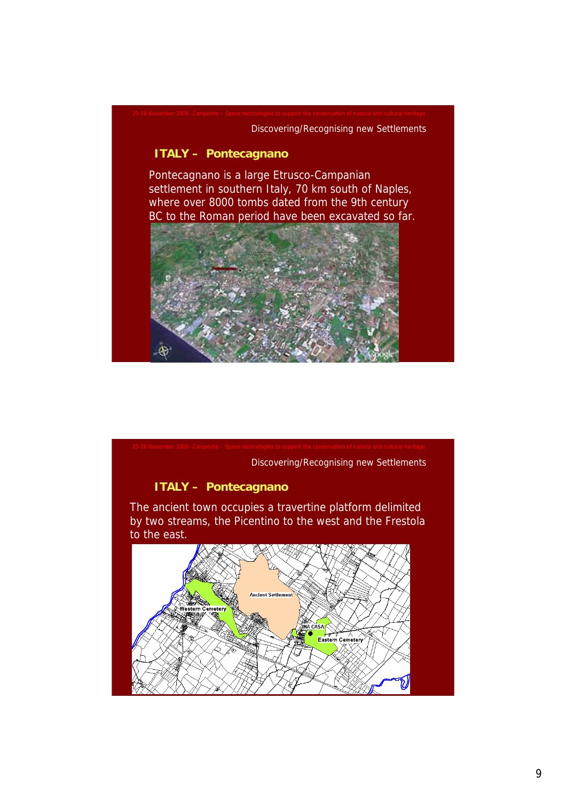### Discovering/Recognising new Settlements

### **ITALY – Pontecagnano**

Pontecagnano is a large Etrusco-Campanian settlement in southern Italy, 70 km south of Naples, where over 8000 tombs dated from the 9th century BC to the Roman period have been excavated so far.



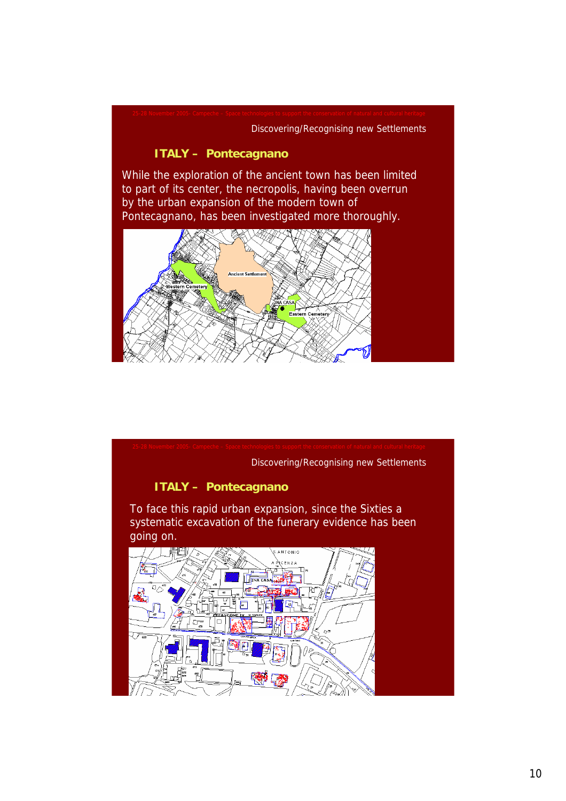### Discovering/Recognising new Settlements

### **ITALY – Pontecagnano**

While the exploration of the ancient town has been limited to part of its center, the necropolis, having been overrun by the urban expansion of the modern town of Pontecagnano, has been investigated more thoroughly.



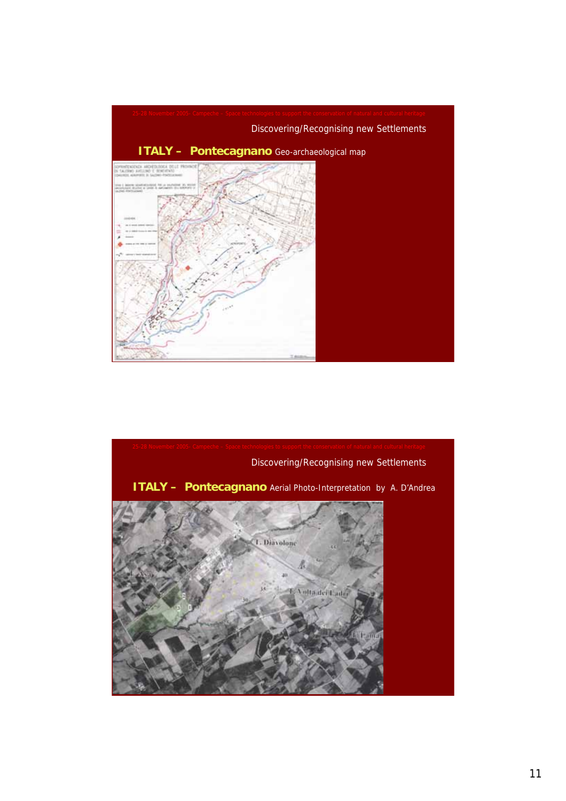

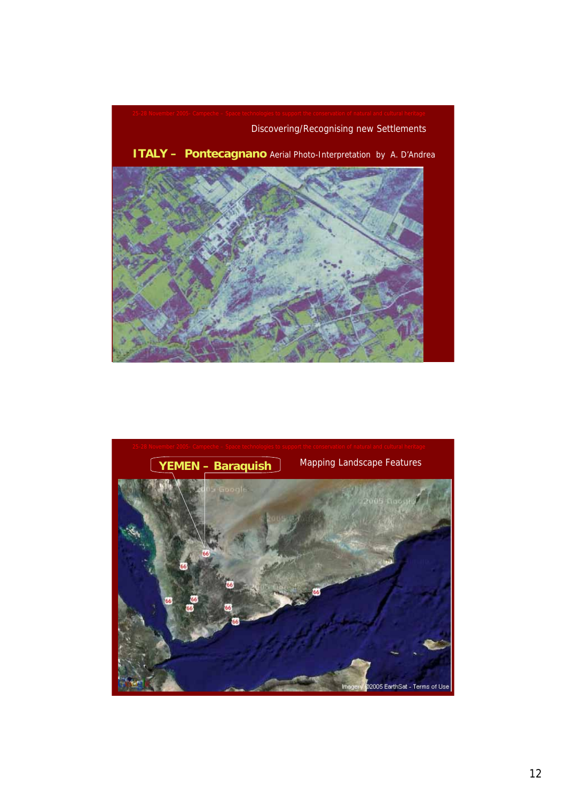

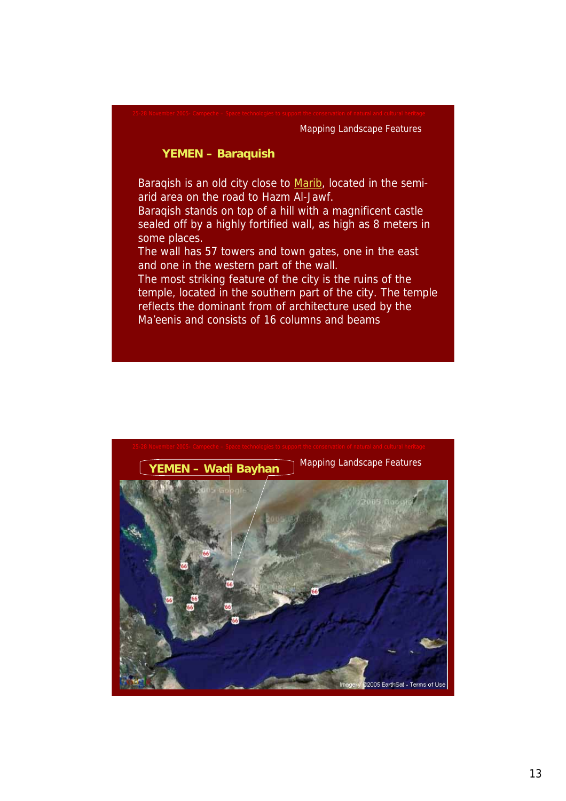#### Mapping Landscape Features

#### **YEMEN – Baraquish**

Baraqish is an old city close to Marib, located in the semiarid area on the road to Hazm Al-Jawf.

Baraqish stands on top of a hill with a magnificent castle sealed off by a highly fortified wall, as high as 8 meters in some places.

The wall has 57 towers and town gates, one in the east and one in the western part of the wall.

The most striking feature of the city is the ruins of the temple, located in the southern part of the city. The temple reflects the dominant from of architecture used by the Ma'eenis and consists of 16 columns and beams

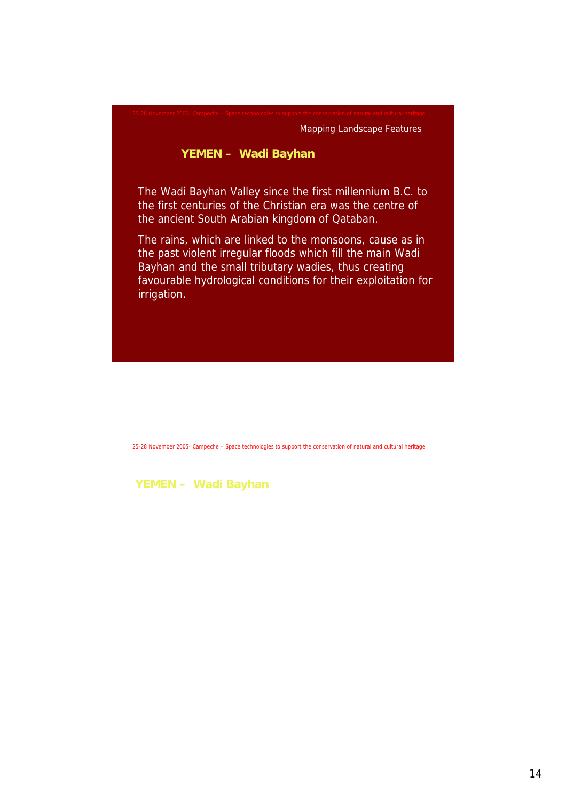Mapping Landscape Features

### **YEMEN – Wadi Bayhan**

The Wadi Bayhan Valley since the first millennium B.C. to the first centuries of the Christian era was the centre of the ancient South Arabian kingdom of Qataban.

The rains, which are linked to the monsoons, cause as in the past violent irregular floods which fill the main Wadi Bayhan and the small tributary wadies, thus creating favourable hydrological conditions for their exploitation for irrigation.

25-28 November 2005- Campeche – Space technologies to support the conservation of natural and cultural heritage

**YEMEN – Wadi Bayhan**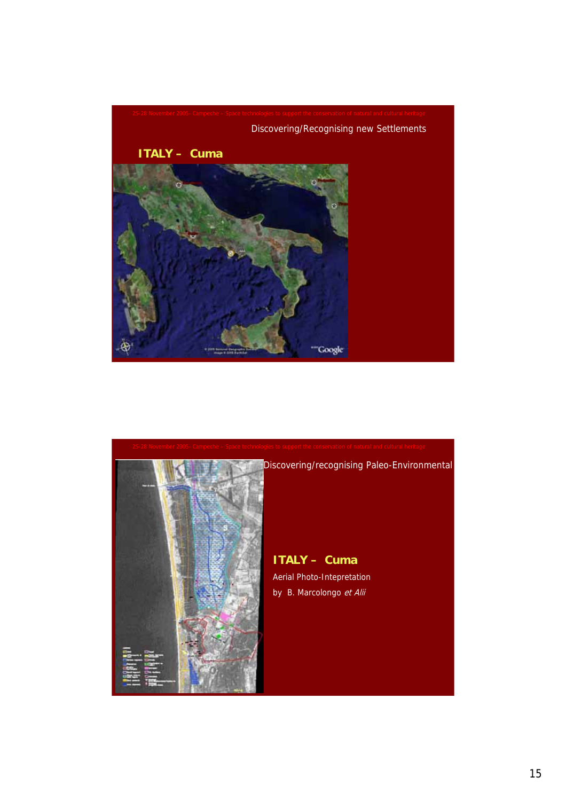



15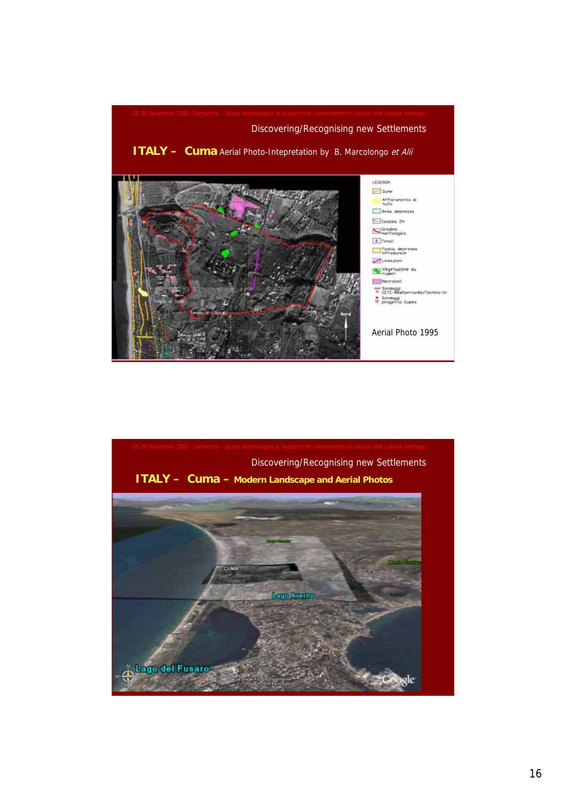

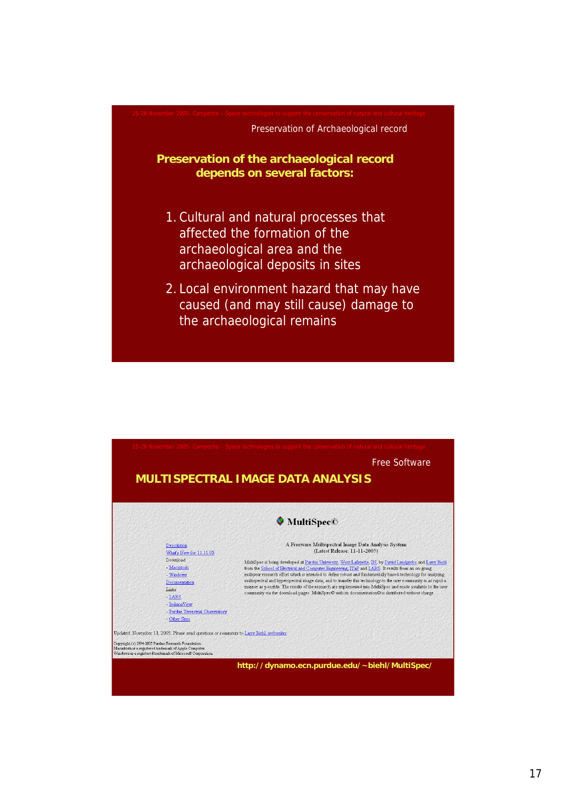

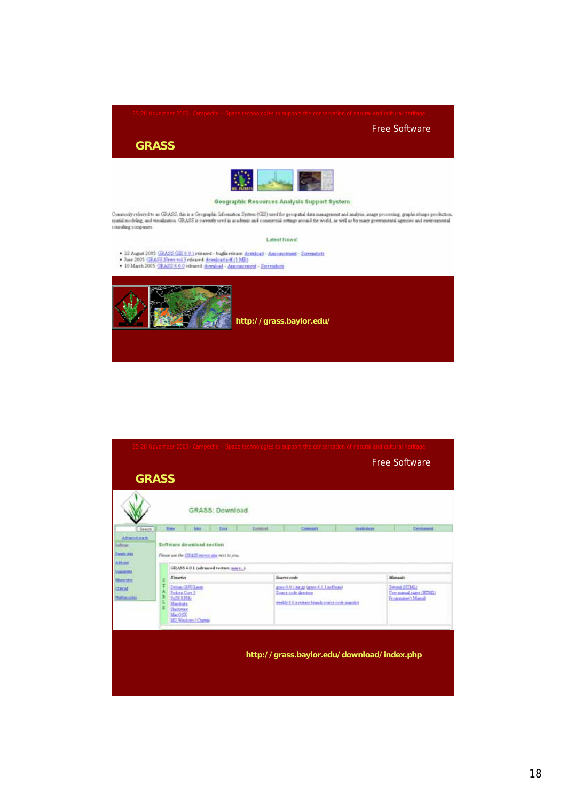Free Software

**GRASS**



#### Geographic Resources Analysis Support System

Commody referred to at CRASS, the is a Geographic Information System (CES) used for georgiatal data management and analysis, image processing, graphicsimaps production, system in the control of the state of the state of th

Latest News!

- \* 22 August 2005 <u>GRASS GIS 6.0.1</u> released bugger release *download* Astossmorment Screenshaft<br>\* June 2005: <u>GRASS News vol 2</u> released <u>download pet (1 MB)</u><br>\* 10 March 2005: <u>GRASS 6.0.0</u> released <u>download</u> Arm
- 



**http://grass.baylor.edu/**

|                                                                                                                         |                                                                                                                                         |                     |                        |               | 25-28 November 2005- Campeche – Space technologies to support the conservation of natural and cultural heritage          |            |                                                                |
|-------------------------------------------------------------------------------------------------------------------------|-----------------------------------------------------------------------------------------------------------------------------------------|---------------------|------------------------|---------------|--------------------------------------------------------------------------------------------------------------------------|------------|----------------------------------------------------------------|
|                                                                                                                         |                                                                                                                                         |                     |                        |               |                                                                                                                          |            | <b>Free Software</b>                                           |
| <b>GRASS</b>                                                                                                            |                                                                                                                                         |                     |                        |               |                                                                                                                          |            |                                                                |
|                                                                                                                         |                                                                                                                                         |                     | <b>GRASS: Download</b> |               |                                                                                                                          |            |                                                                |
| Seenh                                                                                                                   | E-my                                                                                                                                    | <b>Solid</b>        | <b>Einer</b>           | <b>Temind</b> | Company                                                                                                                  | Associates | <b>Dromawork</b>                                               |
| <b>Zenzir Ada</b><br><b>Addute</b><br><b>Longitude</b><br><b>Afterno sites</b><br><b>CERCAL</b><br><b>Thefire miles</b> | Flease use the OEACC mover are next to you.<br>GRASS 6.0.1 (advanced vectors, mme)<br><b>Monsiels</b><br>Searce code<br><b>Binarias</b> |                     |                        |               |                                                                                                                          |            |                                                                |
|                                                                                                                         | Dehim Clifficanne<br>Federa Cure 3<br>DUES BELLI<br>Maskule.<br><b><i><u>Read</u>way</i></b>                                            |                     |                        |               | grass 6.0.1 har at faraes 4.0.1 millions)<br><b>Emere inde dercing</b><br>weekly 6.0 a release branch rooms rook manshes |            | Tuessal (ICDA)<br>Untrimmed pages (ETM)<br>Programmer's Manual |
|                                                                                                                         | MacOEX                                                                                                                                  | 145 Wednes / Cupris |                        |               | http://grass.baylor.edu/download/index.php                                                                               |            |                                                                |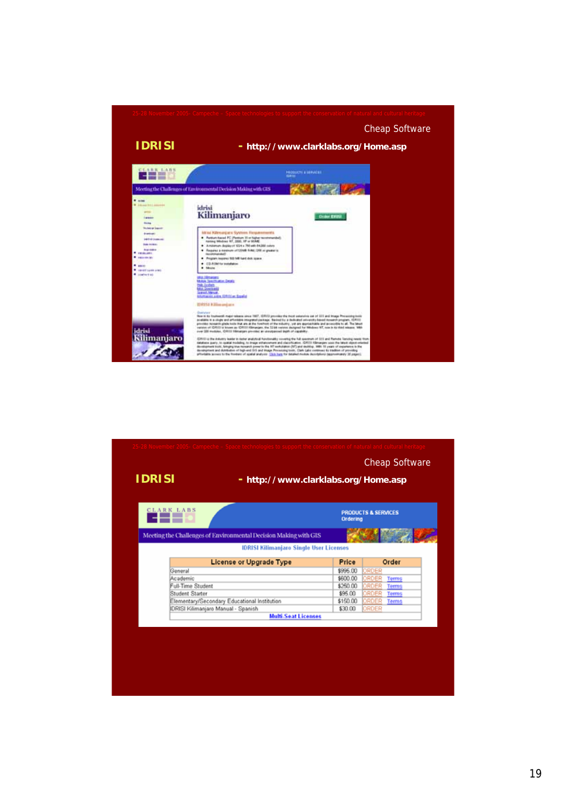

| <b>IDRISI</b>                                                    | 25-28 November 2005- Campeche - Space technologies to support the conservation of natural and cultural heritage<br><b>Cheap Software</b><br>- http://www.clarklabs.org/Home.asp |
|------------------------------------------------------------------|---------------------------------------------------------------------------------------------------------------------------------------------------------------------------------|
| <b>CLARK LABS</b>                                                | <b>PRODUCTS &amp; SERVICES</b><br>Ordering                                                                                                                                      |
| Meeting the Challenges of Environmental Decision Making with GIS |                                                                                                                                                                                 |
| <b>IDRISI Kilimanjaro Single User Licenses</b>                   |                                                                                                                                                                                 |
| <b>License or Upgrade Type</b>                                   | Order<br>Price                                                                                                                                                                  |
| General                                                          | \$995.00<br>ORDER                                                                                                                                                               |
| Academic                                                         | \$600.00<br>ORDER<br>Terms                                                                                                                                                      |
| Full-Time Student                                                | \$250.00<br>ORDER<br><b>Terms</b>                                                                                                                                               |
| Student Starter                                                  | \$95.00<br>ORDER<br><b>Terms</b>                                                                                                                                                |
| Elementary/Secondary Educational Institution                     | \$150.00<br>ORDER<br><b>Terms</b>                                                                                                                                               |
| <b>IDRISI Kilimanjaro Manual - Spanish</b>                       | ORDER<br>\$30.00                                                                                                                                                                |
| <b>Multi-Seat Licenses</b>                                       |                                                                                                                                                                                 |
|                                                                  |                                                                                                                                                                                 |